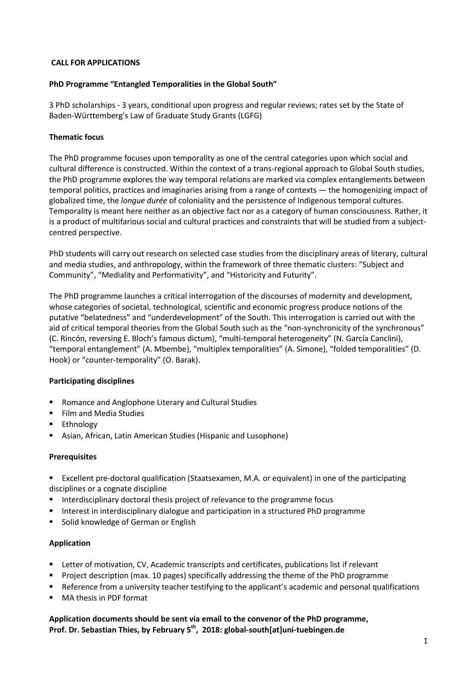## **CALL FOR APPLICATIONS**

## **PhD Programme "Entangled Temporalities in the Global South"**

3 PhD scholarships - 3 years, conditional upon progress and regular reviews; rates set by the State of Baden-Württemberg's Law of Graduate Study Grants (LGFG)

# **Thematic focus**

The PhD programme focuses upon temporality as one of the central categories upon which social and cultural difference is constructed. Within the context of a trans-regional approach to Global South studies, the PhD programme explores the way temporal relations are marked via complex entanglements between temporal politics, practices and imaginaries arising from a range of contexts — the homogenizing impact of globalized time, the *longue durée* of coloniality and the persistence of Indigenous temporal cultures. Temporality is meant here neither as an objective fact nor as a category of human consciousness. Rather, it is a product of multifarious social and cultural practices and constraints that will be studied from a subjectcentred perspective.

PhD students will carry out research on selected case studies from the disciplinary areas of literary, cultural and media studies, and anthropology, within the framework of three thematic clusters: "Subject and Community", "Mediality and Performativity", and "Historicity and Futurity".

The PhD programme launches a critical interrogation of the discourses of modernity and development, whose categories of societal, technological, scientific and economic progress produce notions of the putative "belatedness" and "underdevelopment" of the South. This interrogation is carried out with the aid of critical temporal theories from the Global South such as the "non-synchronicity of the synchronous" (C. Rincón, reversing E. Bloch's famous dictum), "multi-temporal heterogeneity" (N. García Canclini), "temporal entanglement" (A. Mbembe), "multiplex temporalities" (A. Simone), "folded temporalities" (D. Hook) or "counter-temporality" (O. Barak).

#### **Participating disciplines**

- **Romance and Anglophone Literary and Cultural Studies**
- **Film and Media Studies**
- **Ethnology**
- Asian, African, Latin American Studies (Hispanic and Lusophone)

#### **Prerequisites**

- Excellent pre-doctoral qualification (Staatsexamen, M.A. or equivalent) in one of the participating disciplines or a cognate discipline
- **Interdisciplinary doctoral thesis project of relevance to the programme focus**
- Interest in interdisciplinary dialogue and participation in a structured PhD programme
- Solid knowledge of German or English

#### **Application**

- **EXTER 1** Letter of motivation, CV, Academic transcripts and certificates, publications list if relevant
- **Project description (max. 10 pages) specifically addressing the theme of the PhD programme**
- **•** Reference from a university teacher testifying to the applicant's academic and personal qualifications
- MA thesis in PDF format

# **Application documents should be sent via email to the convenor of the PhD programme, Prof. Dr. Sebastian Thies, by February 5 th , 2018: global-south[at]uni-tuebingen.de**